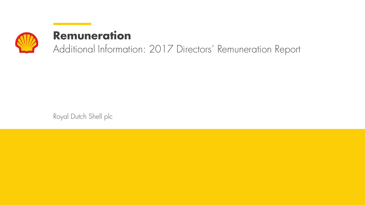

# **Remuneration**

Additional Information: 2017 Directors' Remuneration Report

Royal Dutch Shell plc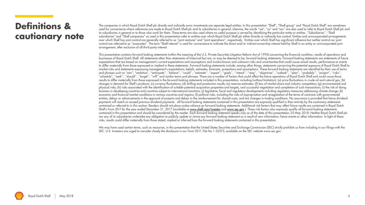#### **Definitions & cautionary note**

The companies in which Royal Dutch Shell plc directly and indirectly owns investments are separate legal entities. In this presentation "Shell", "Shell group" and "Royal Dutch Shell" are sometimes used for convenience where references are made to Royal Dutch Shell plc and its subsidiaries in general. Likewise, the words "we", "us" and "our" are also used to refer to Royal Dutch Shell plc and its subsidiaries in general or to those who work for them. These terms are also used where no useful purpose is served by identifying the particular entity or entities. ''Subsidiaries'', "Shell subsidiaries" and "Shell companies" as used in this presentation refer to entities over which Royal Dutch Shell plc either directly or indirectly has control. Entities and unincorporated arrangements over which Shell has joint control are generally referred to as "joint ventures" and "joint operations", respectively. Entities over which Shell has significant influence but neither control nor joint control are referred to as "associates". The term "Shell interest" is used for convenience to indicate the direct and/or indirect ownership interest held by Shell in an entity or unincorporated joint arrangement, after exclusion of all third-party interest.

This presentation contains forward-looking statements (within the meaning of the U.S. Private Securities Litigation Reform Act of 1995) concerning the financial condition, results of operations and businesses of Royal Dutch Shell. All statements other than statements of historical fact are, or may be deemed to be, forward-looking statements. Forward-looking statements are statements of future expectations that are based on management's current expectations and assumptions and involve known and unknown risks and uncertainties that could cause actual results, performance or events to differ materially from those expressed or implied in these statements. Forward-looking statements include, among other things, statements concerning the potential exposure of Royal Dutch Shell to market risks and statements expressing management's expectations, beliefs, estimates, forecasts, projections and assumptions. These forward-looking statements are identified by their use of terms and phrases such as "aim", "ambition', ''anticipate'', ''believe'', ''could'', ''estimate'', ''expect'', ''goals'', ''intend'', ''may'', ''objectives'', ''outlook'', ''plan'', ''probably'', ''project'', ''risks'', "schedule", ''seek'', ''should'', ''target'', ''will'' and similar terms and phrases. There are a number of factors that could affect the future operations of Royal Dutch Shell and could cause those results to differ materially from those expressed in the forward-looking statements included in this presentation, including (without limitation): (a) price fluctuations in crude oil and natural gas; (b) changes in demand for Shell's products; (c) currency fluctuations; (d) drilling and production results; (e) reserves estimates; (f) loss of market share and industry competition; (g) environmental and physical risks; (h) risks associated with the identification of suitable potential acquisition properties and targets, and successful negotiation and completion of such transactions; (i) the risk of doing business in developing countries and countries subject to international sanctions; (j) legislative, fiscal and regulatory developments including regulatory measures addressing climate change; (k) economic and financial market conditions in various countries and regions; (I) political risks, including the risks of expropriation and renegotiation of the terms of contracts with governmental entities, delays or advancements in the approval of projects and delays in the reimbursement for shared costs; and (m) changes in trading conditions. No assurance is provided that future dividend payments will match or exceed previous dividend payments. All forward-looking statements contained in this presentation are expressly qualified in their entirety by the cautionary statements contained or referred to in this section. Readers should not place undue reliance on forward-looking statements. Additional risk factors that may affect future results are contained in Royal Dutch Shell's Form 20-F for the year ended December 31, 2017 (available at [www.shell.com/investor](http://www.shell.com/investor) and [www.sec.gov](http://www.sec.gov/)). These risk factors also expressly qualify all forward-looking statements contained in this presentation and should be considered by the reader. Each forward-looking statement speaks only as of the date of this presentation, 03 May 2018. Neither Royal Dutch Shell plc nor any of its subsidiaries undertake any obligation to publicly update or revise any forward-looking statement as a result of new information, future events or other information. In light of these risks, results could differ materially from those stated, implied or inferred from the forward-looking statements contained in this presentation.

We may have used certain terms, such as resources, in this presentation that the United States Securities and Exchange Commission (SEC) strictly prohibits us from includina in our filinas with the SEC. U.S. Investors are urged to consider closely the disclosure in our Form 20-F, File No 1-32575, available on the SEC website www.sec.gov.

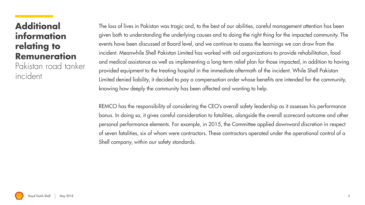## **Additional information relating to Remuneration**

Pakistan road tanker incident

The loss of lives in Pakistan was tragic and, to the best of our abilities, careful management attention has been given both to understanding the underlying causes and to doing the right thing for the impacted community. The events have been discussed at Board level, and we continue to assess the learnings we can draw from the incident. Meanwhile Shell Pakistan Limited has worked with aid organizations to provide rehabilitation, food and medical assistance as well as implementing a long-term relief plan for those impacted, in addition to having provided equipment to the treating hospital in the immediate aftermath of the incident. While Shell Pakistan Limited denied liability, it decided to pay a compensation order whose benefits are intended for the community, knowing how deeply the community has been affected and wanting to help.

REMCO has the responsibility of considering the CEO's overall safety leadership as it assesses his performance bonus. In doing so, it gives careful consideration to fatalities, alongside the overall scorecard outcome and other personal performance elements. For example, in 2015, the Committee applied downward discretion in respect of seven fatalities, six of whom were contractors. These contractors operated under the operational control of a Shell company, within our safety standards.

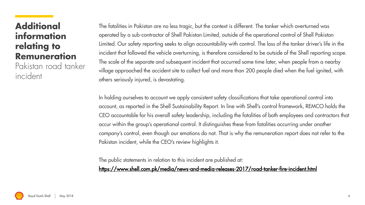## **Additional information relating to Remuneration**

Pakistan road tanker incident

The fatalities in Pakistan are no less tragic, but the context is different. The tanker which overturned was operated by a sub-contractor of Shell Pakistan Limited, outside of the operational control of Shell Pakistan Limited. Our safety reporting seeks to align accountability with control. The loss of the tanker driver's life in the incident that followed the vehicle overturning, is therefore considered to be outside of the Shell reporting scope. The scale of the separate and subsequent incident that occurred some time later, when people from a nearby village approached the accident site to collect fuel and more than 200 people died when the fuel ignited, with others seriously injured, is devastating.

In holding ourselves to account we apply consistent safety classifications that take operational control into account, as reported in the Shell Sustainability Report. In line with Shell's control framework, REMCO holds the CEO accountable for his overall safety leadership, including the fatalities of both employees and contractors that occur within the group's operational control. It distinguishes these from fatalities occurring under another company's control, even though our emotions do not. That is why the remuneration report does not refer to the Pakistan incident, while the CEO's review highlights it.

The public statements in relation to this incident are published at:

<https://www.shell.com.pk/media/news-and-media-releases-2017/road-tanker-fire-incident.html>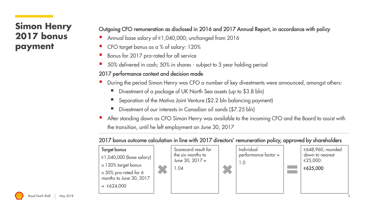## **Simon Henry 2017 bonus payment**

#### Outgoing CFO remuneration as disclosed in 2016 and 2017 Annual Report, in accordance with policy

- Annual base salary of  $\in$ 1,040,000; unchanged from 2016
- CFO target bonus as a % of salary: 120%
- Bonus for 2017 pro-rated for all service
- 50% delivered in cash; 50% in shares subject to 3 year holding period

#### 2017 performance context and decision made

- During the period Simon Henry was CFO a number of key divestments were announced, amongst others:
	- Divestment of a package of UK North Sea assets (up to \$3.8 bln)
	- Separation of the Motiva Joint Venture (\$2.2 bln balancing payment)
	- Divestment of our interests in Canadian oil sands (\$7.25 bln)
- After standing down as CFO Simon Henry was available to the incoming CFO and the Board to assist with the transition, until he left employment on June 30, 2017

#### 2017 bonus outcome calculation in line with 2017 directors' remuneration policy, approved by shareholders